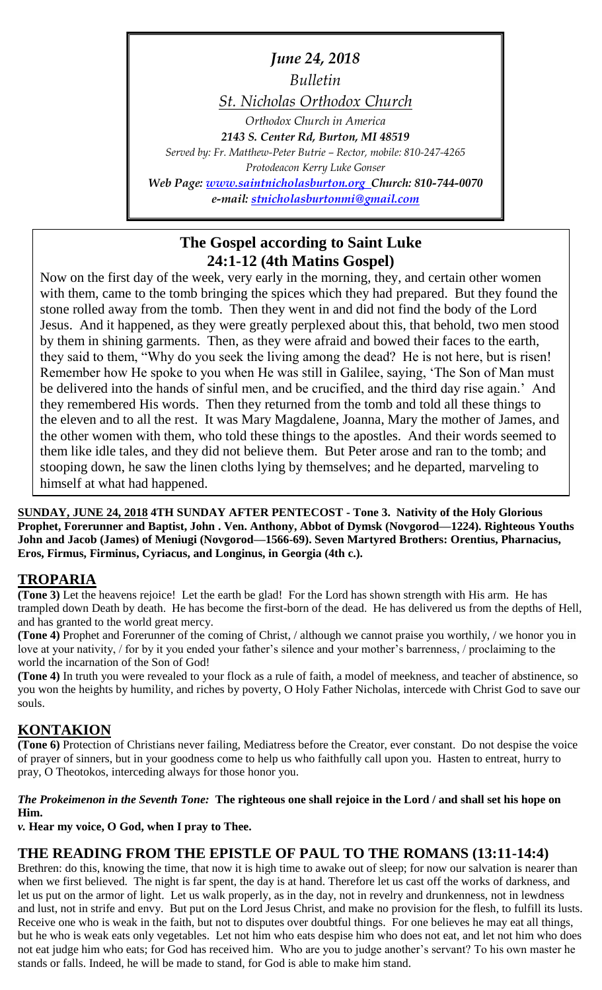*June 24, 2018*

*Bulletin*

*St. Nicholas Orthodox Church*

*Orthodox Church in America 2143 S. Center Rd, Burton, MI 48519 Served by: Fr. Matthew-Peter Butrie – Rector, mobile: 810-247-4265 Protodeacon Kerry Luke Gonser Web Page: [www.saintnicholasburton.org](http://www.saintnicholasburton.org/) Church: 810-744-0070 e-mail: [stnicholasburtonmi@gmail.com](mailto:stnicholasburtonmi@gmail.com)*

## **The Gospel according to Saint Luke 24:1-12 (4th Matins Gospel)**

Now on the first day of the week, very early in the morning, they, and certain other women with them, came to the tomb bringing the spices which they had prepared. But they found the stone rolled away from the tomb. Then they went in and did not find the body of the Lord Jesus. And it happened, as they were greatly perplexed about this, that behold, two men stood by them in shining garments. Then, as they were afraid and bowed their faces to the earth, they said to them, "Why do you seek the living among the dead? He is not here, but is risen! Remember how He spoke to you when He was still in Galilee, saying, 'The Son of Man must be delivered into the hands of sinful men, and be crucified, and the third day rise again.' And they remembered His words. Then they returned from the tomb and told all these things to the eleven and to all the rest. It was Mary Magdalene, Joanna, Mary the mother of James, and the other women with them, who told these things to the apostles. And their words seemed to them like idle tales, and they did not believe them. But Peter arose and ran to the tomb; and stooping down, he saw the linen cloths lying by themselves; and he departed, marveling to himself at what had happened.

**SUNDAY, JUNE 24, 2018 4TH SUNDAY AFTER PENTECOST - Tone 3. Nativity of the Holy Glorious Prophet, Forerunner and Baptist, John . Ven. Anthony, Abbot of Dymsk (Novgorod—1224). Righteous Youths John and Jacob (James) of Meniugi (Novgorod—1566-69). Seven Martyred Brothers: Orentius, Pharnacius, Eros, Firmus, Firminus, Cyriacus, and Longinus, in Georgia (4th c.).**

## **TROPARIA**

**(Tone 3)** Let the heavens rejoice! Let the earth be glad! For the Lord has shown strength with His arm. He has trampled down Death by death. He has become the first-born of the dead. He has delivered us from the depths of Hell, and has granted to the world great mercy.

**(Tone 4)** Prophet and Forerunner of the coming of Christ, / although we cannot praise you worthily, / we honor you in love at your nativity, / for by it you ended your father's silence and your mother's barrenness, / proclaiming to the world the incarnation of the Son of God!

**(Tone 4)** In truth you were revealed to your flock as a rule of faith, a model of meekness, and teacher of abstinence, so you won the heights by humility, and riches by poverty, O Holy Father Nicholas, intercede with Christ God to save our souls.

## **KONTAKION**

**(Tone 6)** Protection of Christians never failing, Mediatress before the Creator, ever constant. Do not despise the voice of prayer of sinners, but in your goodness come to help us who faithfully call upon you. Hasten to entreat, hurry to pray, O Theotokos, interceding always for those honor you.

### *The Prokeimenon in the Seventh Tone:* **The righteous one shall rejoice in the Lord / and shall set his hope on Him.**

*v.* **Hear my voice, O God, when I pray to Thee.**

## **THE READING FROM THE EPISTLE OF PAUL TO THE ROMANS (13:11-14:4)**

Brethren: do this, knowing the time, that now it is high time to awake out of sleep; for now our salvation is nearer than when we first believed. The night is far spent, the day is at hand. Therefore let us cast off the works of darkness, and let us put on the armor of light. Let us walk properly, as in the day, not in revelry and drunkenness, not in lewdness and lust, not in strife and envy. But put on the Lord Jesus Christ, and make no provision for the flesh, to fulfill its lusts. Receive one who is weak in the faith, but not to disputes over doubtful things. For one believes he may eat all things, but he who is weak eats only vegetables. Let not him who eats despise him who does not eat, and let not him who does not eat judge him who eats; for God has received him. Who are you to judge another's servant? To his own master he stands or falls. Indeed, he will be made to stand, for God is able to make him stand.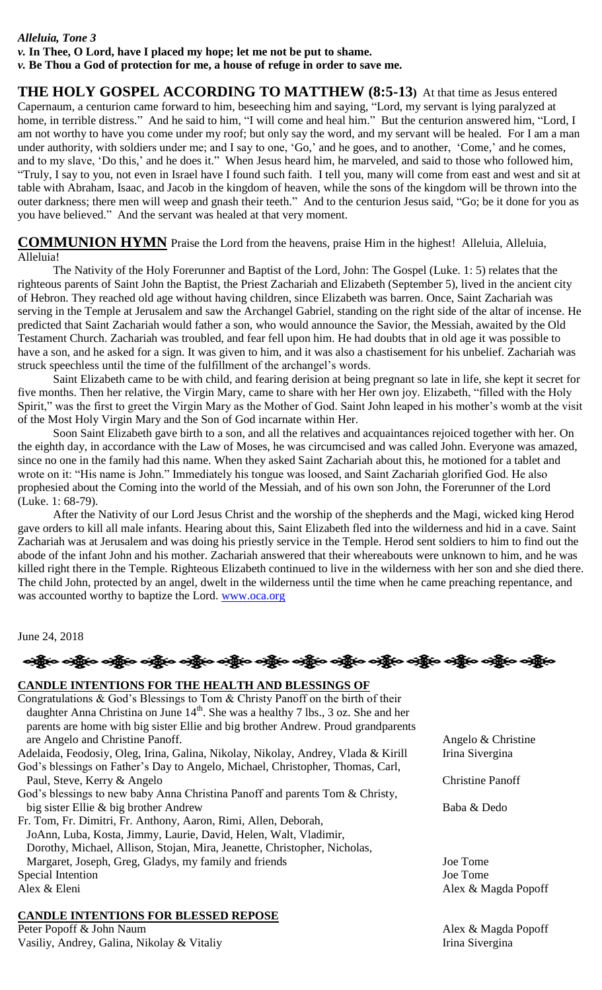#### *Alleluia, Tone 3 v.* **In Thee, O Lord, have I placed my hope; let me not be put to shame.** *v.* **Be Thou a God of protection for me, a house of refuge in order to save me.**

**THE HOLY GOSPEL ACCORDING TO MATTHEW (8:5-13)** At that time as Jesus entered Capernaum, a centurion came forward to him, beseeching him and saying, "Lord, my servant is lying paralyzed at home, in terrible distress." And he said to him, "I will come and heal him." But the centurion answered him, "Lord, I am not worthy to have you come under my roof; but only say the word, and my servant will be healed. For I am a man under authority, with soldiers under me; and I say to one, 'Go,' and he goes, and to another, 'Come,' and he comes, and to my slave, 'Do this,' and he does it." When Jesus heard him, he marveled, and said to those who followed him, "Truly, I say to you, not even in Israel have I found such faith. I tell you, many will come from east and west and sit at table with Abraham, Isaac, and Jacob in the kingdom of heaven, while the sons of the kingdom will be thrown into the outer darkness; there men will weep and gnash their teeth." And to the centurion Jesus said, "Go; be it done for you as you have believed." And the servant was healed at that very moment.

**COMMUNION HYMN** Praise the Lord from the heavens, praise Him in the highest! Alleluia, Alleluia, Alleluia!

The Nativity of the Holy Forerunner and Baptist of the Lord, John: The Gospel (Luke. 1: 5) relates that the righteous parents of Saint John the Baptist, the Priest Zachariah and Elizabeth (September 5), lived in the ancient city of Hebron. They reached old age without having children, since Elizabeth was barren. Once, Saint Zachariah was serving in the Temple at Jerusalem and saw the Archangel Gabriel, standing on the right side of the altar of incense. He predicted that Saint Zachariah would father a son, who would announce the Savior, the Messiah, awaited by the Old Testament Church. Zachariah was troubled, and fear fell upon him. He had doubts that in old age it was possible to have a son, and he asked for a sign. It was given to him, and it was also a chastisement for his unbelief. Zachariah was struck speechless until the time of the fulfillment of the archangel's words.

Saint Elizabeth came to be with child, and fearing derision at being pregnant so late in life, she kept it secret for five months. Then her relative, the Virgin Mary, came to share with her Her own joy. Elizabeth, "filled with the Holy Spirit," was the first to greet the Virgin Mary as the Mother of God. Saint John leaped in his mother's womb at the visit of the Most Holy Virgin Mary and the Son of God incarnate within Her.

Soon Saint Elizabeth gave birth to a son, and all the relatives and acquaintances rejoiced together with her. On the eighth day, in accordance with the Law of Moses, he was circumcised and was called John. Everyone was amazed, since no one in the family had this name. When they asked Saint Zachariah about this, he motioned for a tablet and wrote on it: "His name is John." Immediately his tongue was loosed, and Saint Zachariah glorified God. He also prophesied about the Coming into the world of the Messiah, and of his own son John, the Forerunner of the Lord (Luke. 1: 68-79).

After the Nativity of our Lord Jesus Christ and the worship of the shepherds and the Magi, wicked king Herod gave orders to kill all male infants. Hearing about this, Saint Elizabeth fled into the wilderness and hid in a cave. Saint Zachariah was at Jerusalem and was doing his priestly service in the Temple. Herod sent soldiers to him to find out the abode of the infant John and his mother. Zachariah answered that their whereabouts were unknown to him, and he was killed right there in the Temple. Righteous Elizabeth continued to live in the wilderness with her son and she died there. The child John, protected by an angel, dwelt in the wilderness until the time when he came preaching repentance, and was accounted worthy to baptize the Lord. [www.oca.org](http://www.oca.org/)

June 24, 2018

| ပတ္သို့လ သန္တို့လ သန္တို့လ သန္တို့လ သန္တို့လ သန္တို့လ သန္တို့လ သန္တို့လ သန္တို့လ သန္တို့လ သန္တို့လ သန္တို့လ |
|-------------------------------------------------------------------------------------------------------------|
| <b>CANDLE INTENTIONS FOR THE HEALTH AND BLESSINGS OF</b>                                                    |
| Congratulations & God's Blessings to Tom & Christy Panoff on the birth of their                             |

| daughter Anna Christina on June $14th$ . She was a healthy 7 lbs., 3 oz. She and her |                         |
|--------------------------------------------------------------------------------------|-------------------------|
| parents are home with big sister Ellie and big brother Andrew. Proud grandparents    |                         |
| are Angelo and Christine Panoff.                                                     | Angelo & Christine      |
| Adelaida, Feodosiy, Oleg, Irina, Galina, Nikolay, Nikolay, Andrey, Vlada & Kirill    | Irina Sivergina         |
| God's blessings on Father's Day to Angelo, Michael, Christopher, Thomas, Carl,       |                         |
| Paul, Steve, Kerry & Angelo                                                          | <b>Christine Panoff</b> |
| God's blessings to new baby Anna Christina Panoff and parents Tom & Christy,         |                         |
| big sister Ellie & big brother Andrew                                                | Baba & Dedo             |
| Fr. Tom, Fr. Dimitri, Fr. Anthony, Aaron, Rimi, Allen, Deborah,                      |                         |
| JoAnn, Luba, Kosta, Jimmy, Laurie, David, Helen, Walt, Vladimir,                     |                         |
| Dorothy, Michael, Allison, Stojan, Mira, Jeanette, Christopher, Nicholas,            |                         |
| Margaret, Joseph, Greg, Gladys, my family and friends                                | Joe Tome                |
| Special Intention                                                                    | Joe Tome                |
| Alex & Eleni                                                                         | Alex & Magda Popoff     |
| <b>CANDLE INTENTIONS FOR BLESSED REPOSE</b>                                          |                         |

Peter Popoff & John Naum Alex & Magda Popoff Vasiliy, Andrey, Galina, Nikolay & Vitaliy Irina Sivergina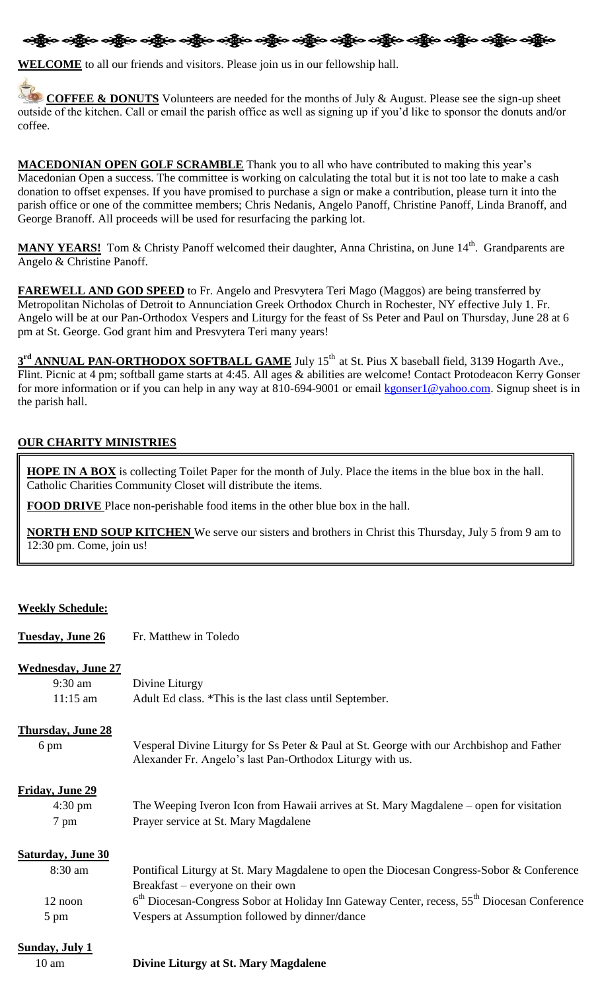# නිදිහ නම් ද නම් ද පැතිවර නම් ද නම් ද නම් ද නම් ද නම් ද නම් ද නම් ද නම් ද නම් ද

**WELCOME** to all our friends and visitors. Please join us in our fellowship hall.

**COFFEE & DONUTS** Volunteers are needed for the months of July & August. Please see the sign-up sheet outside of the kitchen. Call or email the parish office as well as signing up if you'd like to sponsor the donuts and/or coffee.

**MACEDONIAN OPEN GOLF SCRAMBLE** Thank you to all who have contributed to making this year's Macedonian Open a success. The committee is working on calculating the total but it is not too late to make a cash donation to offset expenses. If you have promised to purchase a sign or make a contribution, please turn it into the parish office or one of the committee members; Chris Nedanis, Angelo Panoff, Christine Panoff, Linda Branoff, and George Branoff. All proceeds will be used for resurfacing the parking lot.

MANY YEARS! Tom & Christy Panoff welcomed their daughter, Anna Christina, on June 14<sup>th</sup>. Grandparents are Angelo & Christine Panoff.

**FAREWELL AND GOD SPEED** to Fr. Angelo and Presvytera Teri Mago (Maggos) are being transferred by Metropolitan Nicholas of Detroit to Annunciation Greek Orthodox Church in Rochester, NY effective July 1. Fr. Angelo will be at our Pan-Orthodox Vespers and Liturgy for the feast of Ss Peter and Paul on Thursday, June 28 at 6 pm at St. George. God grant him and Presvytera Teri many years!

3<sup>rd</sup> ANNUAL PAN-ORTHODOX SOFTBALL GAME July 15<sup>th</sup> at St. Pius X baseball field, 3139 Hogarth Ave., Flint. Picnic at 4 pm; softball game starts at 4:45. All ages & abilities are welcome! Contact Protodeacon Kerry Gonser for more information or if you can help in any way at 810-694-9001 or email [kgonser1@yahoo.com.](mailto:kgonser1@yahoo.com) Signup sheet is in the parish hall.

### **OUR CHARITY MINISTRIES**

**HOPE IN A BOX** is collecting Toilet Paper for the month of July. Place the items in the blue box in the hall. Catholic Charities Community Closet will distribute the items.

**FOOD DRIVE** Place non-perishable food items in the other blue box in the hall.

**NORTH END SOUP KITCHEN** We serve our sisters and brothers in Christ this Thursday, July 5 from 9 am to 12:30 pm. Come, join us!

### **Weekly Schedule:**

| <b>Tuesday, June 26</b>   | Fr. Matthew in Toledo                                                                                                                                 |
|---------------------------|-------------------------------------------------------------------------------------------------------------------------------------------------------|
| <b>Wednesday, June 27</b> |                                                                                                                                                       |
| $9:30$ am                 | Divine Liturgy                                                                                                                                        |
| $11:15$ am                | Adult Ed class. *This is the last class until September.                                                                                              |
| <b>Thursday, June 28</b>  |                                                                                                                                                       |
| 6 pm                      | Vesperal Divine Liturgy for Ss Peter & Paul at St. George with our Archbishop and Father<br>Alexander Fr. Angelo's last Pan-Orthodox Liturgy with us. |
| Friday, June 29           |                                                                                                                                                       |
| $4:30 \text{ pm}$         | The Weeping Iveron Icon from Hawaii arrives at St. Mary Magdalene – open for visitation                                                               |
| 7 pm                      | Prayer service at St. Mary Magdalene                                                                                                                  |
| <b>Saturday, June 30</b>  |                                                                                                                                                       |
| 8:30 am                   | Pontifical Liturgy at St. Mary Magdalene to open the Diocesan Congress-Sobor & Conference                                                             |
|                           | Breakfast – everyone on their own                                                                                                                     |
| 12 noon                   | 6 <sup>th</sup> Diocesan-Congress Sobor at Holiday Inn Gateway Center, recess, 55 <sup>th</sup> Diocesan Conference                                   |
|                           |                                                                                                                                                       |
| 5 pm                      | Vespers at Assumption followed by dinner/dance                                                                                                        |
| <b>Sunday, July 1</b>     |                                                                                                                                                       |

10 am **Divine Liturgy at St. Mary Magdalene**